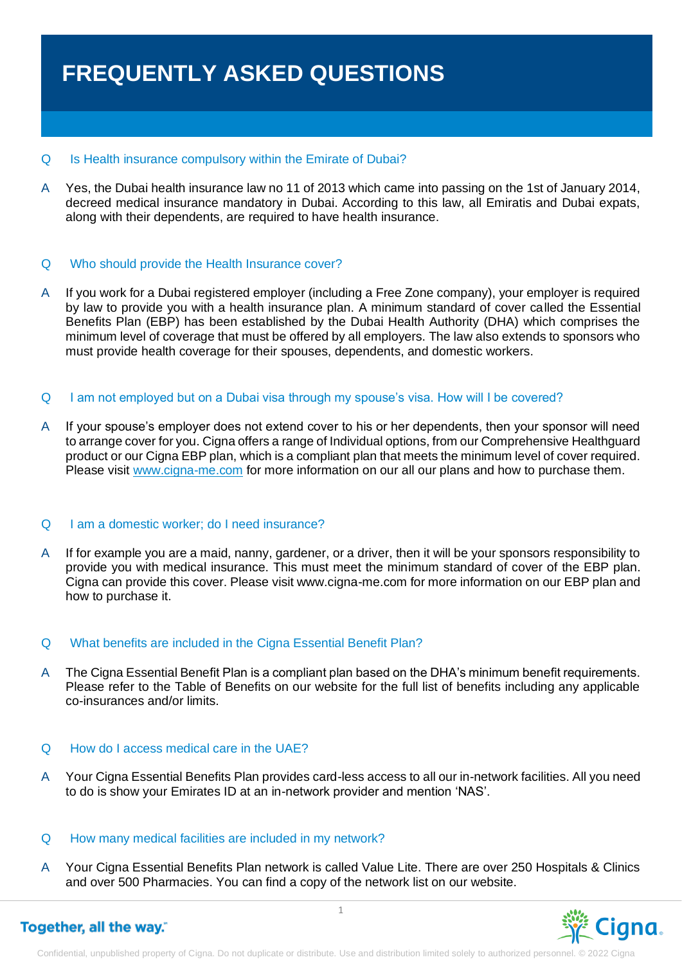# **FREQUENTLY ASKED QUESTIONS**

### Q Is Health insurance compulsory within the Emirate of Dubai?

A Yes, the Dubai health insurance law no 11 of 2013 which came into passing on the 1st of January 2014, decreed medical insurance mandatory in Dubai. According to this law, all Emiratis and Dubai expats, along with their dependents, are required to have health insurance.

# Q Who should provide the Health Insurance cover?

A If you work for a Dubai registered employer (including a Free Zone company), your employer is required by law to provide you with a health insurance plan. A minimum standard of cover called the Essential Benefits Plan (EBP) has been established by the Dubai Health Authority (DHA) which comprises the minimum level of coverage that must be offered by all employers. The law also extends to sponsors who must provide health coverage for their spouses, dependents, and domestic workers.

# Q I am not employed but on a Dubai visa through my spouse's visa. How will I be covered?

A If your spouse's employer does not extend cover to his or her dependents, then your sponsor will need to arrange cover for you. Cigna offers a range of Individual options, from our Comprehensive Healthguard product or our Cigna EBP plan, which is a compliant plan that meets the minimum level of cover required. Please visit www.cigna-me.com for more information on our all our plans and how to purchase them.

#### Q I am a domestic worker; do I need insurance?

A If for example you are a maid, nanny, gardener, or a driver, then it will be your sponsors responsibility to provide you with medical insurance. This must meet the minimum standard of cover of the EBP plan. Cigna can provide this cover. Please visit www.cigna-me.com for more information on our EBP plan and how to purchase it.

#### Q What benefits are included in the Cigna Essential Benefit Plan?

A The Cigna Essential Benefit Plan is a compliant plan based on the DHA's minimum benefit requirements. Please refer to the Table of Benefits on our website for the full list of benefits including any applicable co-insurances and/or limits.

### Q How do I access medical care in the UAE?

A Your Cigna Essential Benefits Plan provides card-less access to all our in-network facilities. All you need to do is show your Emirates ID at an in-network provider and mention 'NAS'.

#### Q How many medical facilities are included in my network?

A Your Cigna Essential Benefits Plan network is called Value Lite. There are over 250 Hospitals & Clinics and over 500 Pharmacies. You can find a copy of the network list on our website.

Together, all the way."

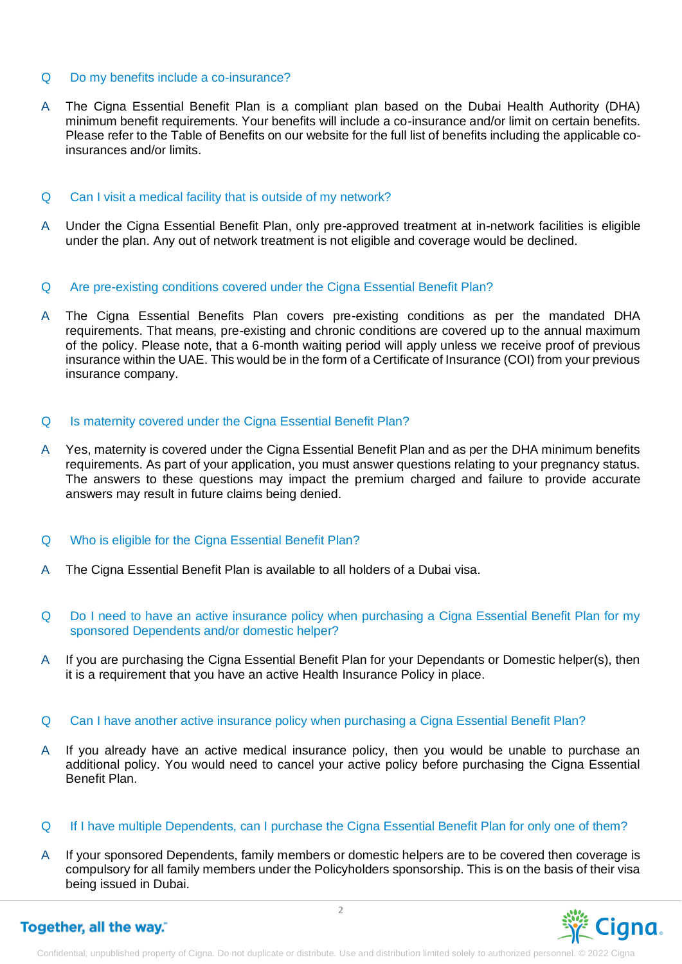### Q Do my benefits include a co-insurance?

A The Cigna Essential Benefit Plan is a compliant plan based on the Dubai Health Authority (DHA) minimum benefit requirements. Your benefits will include a co-insurance and/or limit on certain benefits. Please refer to the Table of Benefits on our website for the full list of benefits including the applicable coinsurances and/or limits.

# Q Can I visit a medical facility that is outside of my network?

- A Under the Cigna Essential Benefit Plan, only pre-approved treatment at in-network facilities is eligible under the plan. Any out of network treatment is not eligible and coverage would be declined.
- Q Are pre-existing conditions covered under the Cigna Essential Benefit Plan?
- A The Cigna Essential Benefits Plan covers pre-existing conditions as per the mandated DHA requirements. That means, pre-existing and chronic conditions are covered up to the annual maximum of the policy. Please note, that a 6-month waiting period will apply unless we receive proof of previous insurance within the UAE. This would be in the form of a Certificate of Insurance (COI) from your previous insurance company.

# Q Is maternity covered under the Cigna Essential Benefit Plan?

A Yes, maternity is covered under the Cigna Essential Benefit Plan and as per the DHA minimum benefits requirements. As part of your application, you must answer questions relating to your pregnancy status. The answers to these questions may impact the premium charged and failure to provide accurate answers may result in future claims being denied.

#### Q Who is eligible for the Cigna Essential Benefit Plan?

- A The Cigna Essential Benefit Plan is available to all holders of a Dubai visa.
- Q Do I need to have an active insurance policy when purchasing a Cigna Essential Benefit Plan for my sponsored Dependents and/or domestic helper?
- A If you are purchasing the Cigna Essential Benefit Plan for your Dependants or Domestic helper(s), then it is a requirement that you have an active Health Insurance Policy in place.
- Q Can I have another active insurance policy when purchasing a Cigna Essential Benefit Plan?
- A If you already have an active medical insurance policy, then you would be unable to purchase an additional policy. You would need to cancel your active policy before purchasing the Cigna Essential Benefit Plan.
- Q If I have multiple Dependents, can I purchase the Cigna Essential Benefit Plan for only one of them?
- A If your sponsored Dependents, family members or domestic helpers are to be covered then coverage is compulsory for all family members under the Policyholders sponsorship. This is on the basis of their visa being issued in Dubai.



# Together, all the way."

Confidential, unpublished property of Cigna. Do not duplicate or distribute. Use and distribution limited solely to authorized personnel. © 2022 Cigna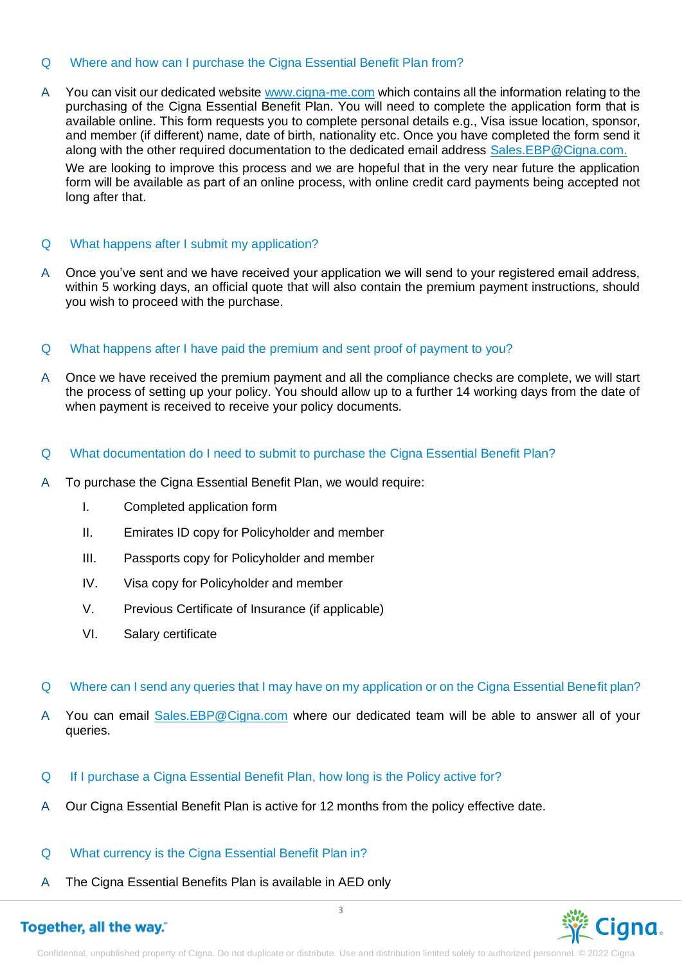# Q Where and how can I purchase the Cigna Essential Benefit Plan from?

A You can visit our dedicated website www.cigna-me.com which contains all the information relating to the purchasing of the Cigna Essential Benefit Plan. You will need to complete the application form that is available online. This form requests you to complete personal details e.g., Visa issue location, sponsor, and member (if different) name, date of birth, nationality etc. Once you have completed the form send it along with the other required documentation to the dedicated email address Sales.EBP@Cigna.com.

We are looking to improve this process and we are hopeful that in the very near future the application form will be available as part of an online process, with online credit card payments being accepted not long after that.

# Q What happens after I submit my application?

A Once you've sent and we have received your application we will send to your registered email address, within 5 working days, an official quote that will also contain the premium payment instructions, should you wish to proceed with the purchase.

# Q What happens after I have paid the premium and sent proof of payment to you?

- A Once we have received the premium payment and all the compliance checks are complete, we will start the process of setting up your policy. You should allow up to a further 14 working days from the date of when payment is received to receive your policy documents.
- Q What documentation do I need to submit to purchase the Cigna Essential Benefit Plan?
- A To purchase the Cigna Essential Benefit Plan, we would require:
	- I. Completed application form
	- II. Emirates ID copy for Policyholder and member
	- III. Passports copy for Policyholder and member
	- IV. Visa copy for Policyholder and member
	- V. Previous Certificate of Insurance (if applicable)
	- VI. Salary certificate
- Q Where can I send any queries that I may have on my application or on the Cigna Essential Benefit plan?
- A You can email Sales.EBP@Cigna.com where our dedicated team will be able to answer all of your queries.
- Q If I purchase a Cigna Essential Benefit Plan, how long is the Policy active for?
- A Our Cigna Essential Benefit Plan is active for 12 months from the policy effective date.
- Q What currency is the Cigna Essential Benefit Plan in?
- A The Cigna Essential Benefits Plan is available in AED only

# Together, all the way."

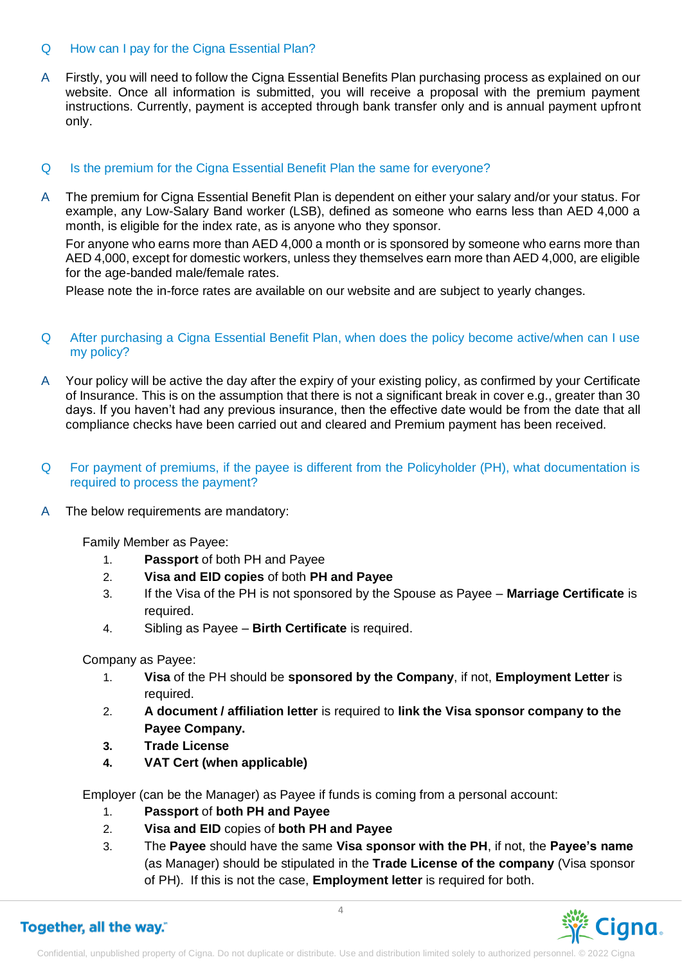# Q How can I pay for the Cigna Essential Plan?

A Firstly, you will need to follow the Cigna Essential Benefits Plan purchasing process as explained on our website. Once all information is submitted, you will receive a proposal with the premium payment instructions. Currently, payment is accepted through bank transfer only and is annual payment upfront only.

# Q Is the premium for the Cigna Essential Benefit Plan the same for everyone?

A The premium for Cigna Essential Benefit Plan is dependent on either your salary and/or your status. For example, any Low-Salary Band worker (LSB), defined as someone who earns less than AED 4,000 a month, is eligible for the index rate, as is anyone who they sponsor.

For anyone who earns more than AED 4,000 a month or is sponsored by someone who earns more than AED 4,000, except for domestic workers, unless they themselves earn more than AED 4,000, are eligible for the age-banded male/female rates.

Please note the in-force rates are available on our website and are subject to yearly changes.

# Q After purchasing a Cigna Essential Benefit Plan, when does the policy become active/when can I use my policy?

- A Your policy will be active the day after the expiry of your existing policy, as confirmed by your Certificate of Insurance. This is on the assumption that there is not a significant break in cover e.g., greater than 30 days. If you haven't had any previous insurance, then the effective date would be from the date that all compliance checks have been carried out and cleared and Premium payment has been received.
- Q For payment of premiums, if the payee is different from the Policyholder (PH), what documentation is required to process the payment?
- A The below requirements are mandatory:

Family Member as Payee:

- 1. **Passport** of both PH and Payee
- 2. **Visa and EID copies** of both **PH and Payee**
- 3. If the Visa of the PH is not sponsored by the Spouse as Payee **Marriage Certificate** is required.
- 4. Sibling as Payee **Birth Certificate** is required.

Company as Payee:

- 1. **Visa** of the PH should be **sponsored by the Company**, if not, **Employment Letter** is required.
- 2. **A document / affiliation letter** is required to **link the Visa sponsor company to the Payee Company.**
- **3. Trade License**
- **4. VAT Cert (when applicable)**

Employer (can be the Manager) as Payee if funds is coming from a personal account:

- 1. **Passport** of **both PH and Payee**
- 2. **Visa and EID** copies of **both PH and Payee**
- 3. The **Payee** should have the same **Visa sponsor with the PH**, if not, the **Payee's name** (as Manager) should be stipulated in the **Trade License of the company** (Visa sponsor of PH). If this is not the case, **Employment letter** is required for both.